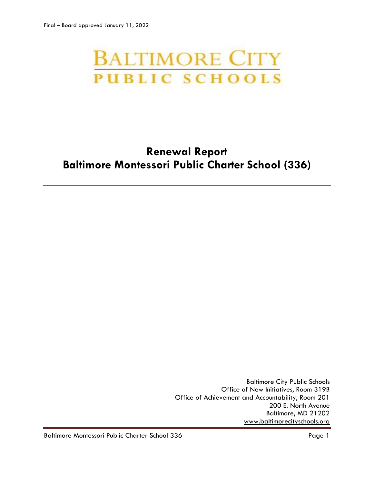# **BALTIMORE CITY PUBLIC SCHOOLS**

# **Renewal Report Baltimore Montessori Public Charter School (336)**

Baltimore City Public Schools Office of New Initiatives, Room 319B Office of Achievement and Accountability, Room 201 200 E. North Avenue Baltimore, MD 21202 [www.baltimorecityschools.org](http://www.baltimorecityschools.org/)

Baltimore Montessori Public Charter School 336 Page 1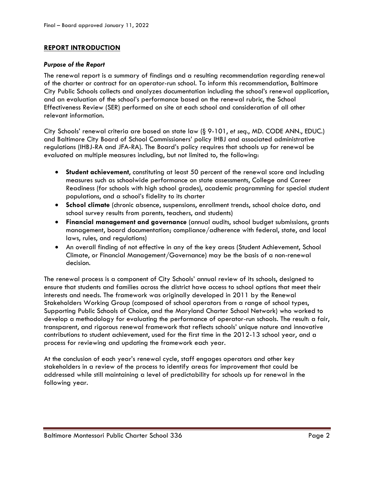# **REPORT INTRODUCTION**

## *Purpose of the Report*

The renewal report is a summary of findings and a resulting recommendation regarding renewal of the charter or contract for an operator-run school. To inform this recommendation, Baltimore City Public Schools collects and analyzes documentation including the school's renewal application, and an evaluation of the school's performance based on the renewal rubric, the School Effectiveness Review (SER) performed on site at each school and consideration of all other relevant information.

City Schools' renewal criteria are based on state law (§ 9-101, *et seq*., MD. CODE ANN., EDUC.) and Baltimore City Board of School Commissioners' policy IHBJ and associated administrative regulations (IHBJ-RA and JFA-RA). The Board's policy requires that schools up for renewal be evaluated on multiple measures including, but not limited to, the following:

- **Student achievement**, constituting at least 50 percent of the renewal score and including measures such as schoolwide performance on state assessments, College and Career Readiness (for schools with high school grades), academic programming for special student populations, and a school's fidelity to its charter
- **School climate** (chronic absence, suspensions, enrollment trends, school choice data, and school survey results from parents, teachers, and students)
- **Financial management and governance** (annual audits, school budget submissions, grants management, board documentation; compliance/adherence with federal, state, and local laws, rules, and regulations)
- An overall finding of not effective in any of the key areas (Student Achievement, School Climate, or Financial Management/Governance) may be the basis of a non-renewal decision.

The renewal process is a component of City Schools' annual review of its schools, designed to ensure that students and families across the district have access to school options that meet their interests and needs. The framework was originally developed in 2011 by the Renewal Stakeholders Working Group (composed of school operators from a range of school types, Supporting Public Schools of Choice, and the Maryland Charter School Network) who worked to develop a methodology for evaluating the performance of operator-run schools. The result: a fair, transparent, and rigorous renewal framework that reflects schools' unique nature and innovative contributions to student achievement, used for the first time in the 2012-13 school year, and a process for reviewing and updating the framework each year.

At the conclusion of each year's renewal cycle, staff engages operators and other key stakeholders in a review of the process to identify areas for improvement that could be addressed while still maintaining a level of predictability for schools up for renewal in the following year.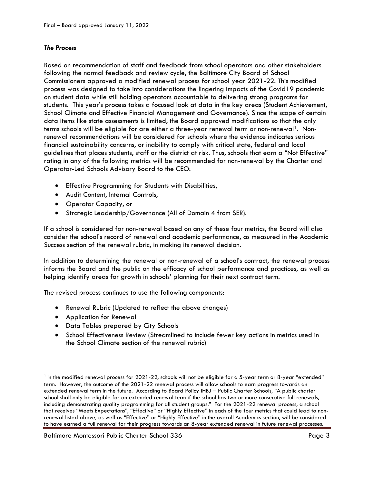# *The Process*

Based on recommendation of staff and feedback from school operators and other stakeholders following the normal feedback and review cycle, the Baltimore City Board of School Commissioners approved a modified renewal process for school year 2021-22. This modified process was designed to take into considerations the lingering impacts of the Covid19 pandemic on student data while still holding operators accountable to delivering strong programs for students. This year's process takes a focused look at data in the key areas (Student Achievement, School Climate and Effective Financial Management and Governance). Since the scope of certain data items like state assessments is limited, the Board approved modifications so that the only terms schools will be eligible for are either a three-year renewal term or non-renewal<sup>1</sup>. Nonrenewal recommendations will be considered for schools where the evidence indicates serious financial sustainability concerns, or inability to comply with critical state, federal and local guidelines that places students, staff or the district at risk. Thus, schools that earn a "Not Effective" rating in any of the following metrics will be recommended for non-renewal by the Charter and Operator-Led Schools Advisory Board to the CEO:

- Effective Programming for Students with Disabilities,
- Audit Content, Internal Controls,
- Operator Capacity, or
- Strategic Leadership/Governance (All of Domain 4 from SER).

If a school is considered for non-renewal based on any of these four metrics, the Board will also consider the school's record of renewal and academic performance, as measured in the Academic Success section of the renewal rubric, in making its renewal decision.

In addition to determining the renewal or non-renewal of a school's contract, the renewal process informs the Board and the public on the efficacy of school performance and practices, as well as helping identify areas for growth in schools' planning for their next contract term.

The revised process continues to use the following components:

- Renewal Rubric (Updated to reflect the above changes)
- Application for Renewal

l

- Data Tables prepared by City Schools
- School Effectiveness Review (Streamlined to include fewer key actions in metrics used in the School Climate section of the renewal rubric)

 $^{\rm 1}$  In the modified renewal process for 2021-22, schools will not be eligible for a 5-year term or 8-year "extended" term. However, the outcome of the 2021-22 renewal process will allow schools to earn progress towards an extended renewal term in the future. According to Board Policy IHBJ – Public Charter Schools, "A public charter school shall only be eligible for an extended renewal term if the school has two or more consecutive full renewals, including demonstrating quality programming for all student groups." For the 2021-22 renewal process, a school that receives "Meets Expectations", "Effective" or "Highly Effective" in each of the four metrics that could lead to nonrenewal listed above, as well as "Effective" or "Highly Effective" in the overall Academics section, will be considered to have earned a full renewal for their progress towards an 8-year extended renewal in future renewal processes.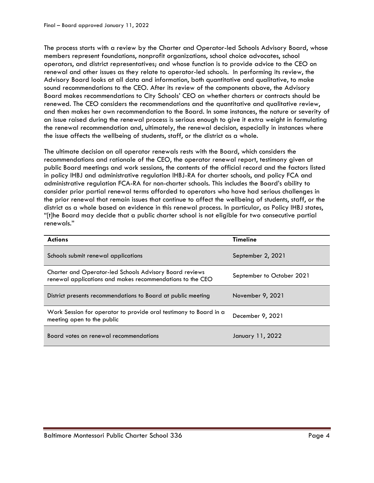The process starts with a review by the Charter and Operator-led Schools Advisory Board, whose members represent foundations, nonprofit organizations, school choice advocates, school operators, and district representatives; and whose function is to provide advice to the CEO on renewal and other issues as they relate to operator-led schools. In performing its review, the Advisory Board looks at all data and information, both quantitative and qualitative, to make sound recommendations to the CEO. After its review of the components above, the Advisory Board makes recommendations to City Schools' CEO on whether charters or contracts should be renewed. The CEO considers the recommendations and the quantitative and qualitative review, and then makes her own recommendation to the Board. In some instances, the nature or severity of an issue raised during the renewal process is serious enough to give it extra weight in formulating the renewal recommendation and, ultimately, the renewal decision, especially in instances where the issue affects the wellbeing of students, staff, or the district as a whole.

The ultimate decision on all operator renewals rests with the Board, which considers the recommendations and rationale of the CEO, the operator renewal report, testimony given at public Board meetings and work sessions, the contents of the official record and the factors listed in policy IHBJ and administrative regulation IHBJ-RA for charter schools, and policy FCA and administrative regulation FCA-RA for non-charter schools. This includes the Board's ability to consider prior partial renewal terms afforded to operators who have had serious challenges in the prior renewal that remain issues that continue to affect the wellbeing of students, staff, or the district as a whole based on evidence in this renewal process. In particular, as Policy IHBJ states, "[t]he Board may decide that a public charter school is not eligible for two consecutive partial renewals."

| <b>Actions</b>                                                                                                       | <b>Timeline</b>           |
|----------------------------------------------------------------------------------------------------------------------|---------------------------|
| Schools submit renewal applications                                                                                  | September 2, 2021         |
| Charter and Operator-led Schools Advisory Board reviews<br>renewal applications and makes recommendations to the CEO | September to October 2021 |
| District presents recommendations to Board at public meeting                                                         | November 9, 2021          |
| Work Session for operator to provide oral testimony to Board in a<br>meeting open to the public                      | December 9, 2021          |
| Board votes on renewal recommendations                                                                               | January 11, 2022          |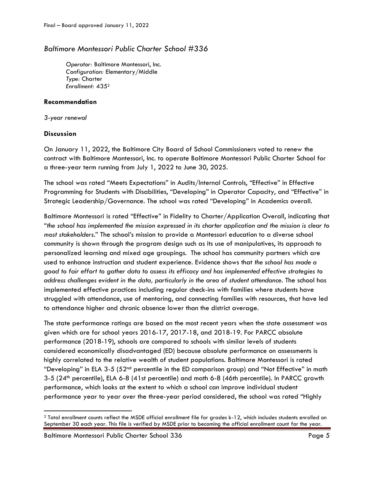# *Baltimore Montessori Public Charter School #336*

*Operator:* Baltimore Montessori, Inc. *Configuration:* Elementary/Middle *Type:* Charter *Enrollment:* 435<sup>2</sup>

# **Recommendation**

*3-year renewal*

# **Discussion**

 $\overline{a}$ 

On January 11, 2022, the Baltimore City Board of School Commissioners voted to renew the contract with Baltimore Montessori, Inc. to operate Baltimore Montessori Public Charter School for a three-year term running from July 1, 2022 to June 30, 2025.

The school was rated "Meets Expectations" in Audits/Internal Controls, "Effective" in Effective Programming for Students with Disabilities, "Developing" in Operator Capacity, and "Effective" in Strategic Leadership/Governance. The school was rated "Developing" in Academics overall.

Baltimore Montessori is rated "Effective" in Fidelity to Charter/Application Overall, indicating that "*the school has implemented the mission expressed in its charter application and the mission is clear to most stakeholders*." The school's mission to provide a Montessori education to a diverse school community is shown through the program design such as its use of manipulatives, its approach to personalized learning and mixed age groupings. The school has community partners which are used to enhance instruction and student experience. Evidence shows that *the school has made a good to fair effort to gather data to assess its efficacy and has implemented effective strategies to address challenges evident in the data, particularly in the area of student attendance.* The school has implemented effective practices including regular check-ins with families where students have struggled with attendance, use of mentoring, and connecting families with resources, that have led to attendance higher and chronic absence lower than the district average.

The state performance ratings are based on the most recent years when the state assessment was given which are for school years 2016-17, 2017-18, and 2018-19. For PARCC absolute performance (2018-19), schools are compared to schools with similar levels of students considered economically disadvantaged (ED) because absolute performance on assessments is highly correlated to the relative wealth of student populations. Baltimore Montessori is rated "Developing" in ELA 3-5 (52nd percentile in the ED comparison group) and "Not Effective" in math 3-5 (24th percentile), ELA 6-8 (41st percentile) and math 6-8 (46th percentile). In PARCC growth performance, which looks at the extent to which a school can improve individual student performance year to year over the three-year period considered, the school was rated "Highly

Baltimore Montessori Public Charter School 336 Page 5

<sup>2</sup> Total enrollment counts reflect the MSDE official enrollment file for grades k-12, which includes students enrolled on September 30 each year. This file is verified by MSDE prior to becoming the official enrollment count for the year.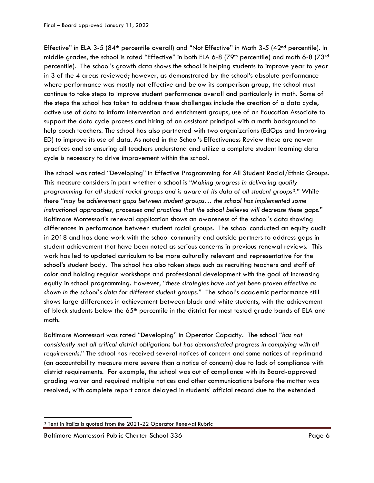Effective" in ELA 3-5 (84<sup>th</sup> percentile overall) and "Not Effective" in Math 3-5 (42<sup>nd</sup> percentile). In middle grades, the school is rated "Effective" in both ELA 6-8 (79<sup>th</sup> percentile) and math 6-8 (73<sup>rd</sup> percentile). The school's growth data shows the school is helping students to improve year to year in 3 of the 4 areas reviewed; however, as demonstrated by the school's absolute performance where performance was mostly not effective and below its comparison group, the school must continue to take steps to improve student performance overall and particularly in math. Some of the steps the school has taken to address these challenges include the creation of a data cycle, active use of data to inform intervention and enrichment groups, use of an Education Associate to support the data cycle process and hiring of an assistant principal with a math background to help coach teachers. The school has also partnered with two organizations (EdOps and Improving ED) to improve its use of data. As noted in the School's Effectiveness Review these are newer practices and so ensuring all teachers understand and utilize a complete student learning data cycle is necessary to drive improvement within the school.

The school was rated "Developing" in Effective Programming for All Student Racial/Ethnic Groups. This measure considers in part whether a school is "*Making progress in delivering quality programming for all student racial groups and is aware of its data of all student groups3.*" While there "*may be achievement gaps between student groups… the school has implemented some instructional approaches, processes and practices that the school believes will decrease these gaps.*" Baltimore Montessori's renewal application shows an awareness of the school's data showing differences in performance between student racial groups. The school conducted an equity audit in 2018 and has done work with the school community and outside partners to address gaps in student achievement that have been noted as serious concerns in previous renewal reviews. This work has led to updated curriculum to be more culturally relevant and representative for the school's student body. The school has also taken steps such as recruiting teachers and staff of color and holding regular workshops and professional development with the goal of increasing equity in school programming. However, "*these strategies have not yet been proven effective as shown in the school's data for different student groups*." The school's academic performance still shows large differences in achievement between black and white students, with the achievement of black students below the 65<sup>th</sup> percentile in the district for most tested grade bands of ELA and math.

Baltimore Montessori was rated "Developing" in Operator Capacity. The school "*has not consistently met all critical district obligations but has demonstrated progress in complying with all requirements.*" The school has received several notices of concern and some notices of reprimand (an accountability measure more severe than a notice of concern) due to lack of compliance with district requirements. For example, the school was out of compliance with its Board-approved grading waiver and required multiple notices and other communications before the matter was resolved, with complete report cards delayed in students' official record due to the extended

 $\overline{\phantom{a}}$ <sup>3</sup> Text in italics is quoted from the 2021-22 Operator Renewal Rubric

Baltimore Montessori Public Charter School 336 Page 6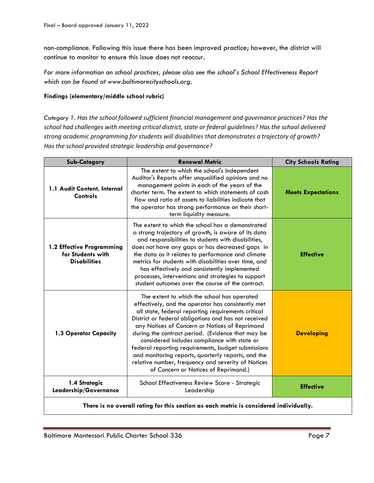non-compliance. Following this issue there has been improved practice; however, the district will continue to monitor to ensure this issue does not reoccur.

*For more information on school practices, please also see the school's School Effectiveness Report which can be found at www.baltimorecityschools.org.*

## **Findings (elementary/middle school rubric)**

*Category 1. Has the school followed sufficient financial management and governance practices? Has the school had challenges with meeting critical district, state or federal guidelines? Has the school delivered strong academic programming for students will disabilities that demonstrates a trajectory of growth? Has the school provided strategic leadership and governance?*

| <b>Sub-Category</b>                                                   | <b>Renewal Metric</b>                                                                                                                                                                                                                                                                                                                                                                                                                                                                                                                                                            | <b>City Schools Rating</b> |
|-----------------------------------------------------------------------|----------------------------------------------------------------------------------------------------------------------------------------------------------------------------------------------------------------------------------------------------------------------------------------------------------------------------------------------------------------------------------------------------------------------------------------------------------------------------------------------------------------------------------------------------------------------------------|----------------------------|
| 1.1 Audit Content, Internal<br>Controls                               | The extent to which the school's Independent<br>Auditor's Reports offer unqualified opinions and no<br>management points in each of the years of the<br>charter term. The extent to which statements of cash<br>flow and ratio of assets to liabilities indicate that<br>the operator has strong performance on their short-<br>term liquidity measure.                                                                                                                                                                                                                          | <b>Meets Expectations</b>  |
| 1.2 Effective Programming<br>for Students with<br><b>Disabilities</b> | The extent to which the school has a demonstrated<br>a strong trajectory of growth, is aware of its data<br>and responsibilities to students with disabilities,<br>does not have any gaps or has decreased gaps in<br>the data as it relates to performance and climate<br>metrics for students with disabilities over time, and<br>has effectively and consistently implemented<br>processes, interventions and strategies to support<br>student outcomes over the course of the contract.                                                                                      | <b>Effective</b>           |
| 1.3 Operator Capacity                                                 | The extent to which the school has operated<br>effectively, and the operator has consistently met<br>all state, federal reporting requirements critical<br>District or federal obligations and has not received<br>any Notices of Concern or Notices of Reprimand<br>during the contract period. (Evidence that may be<br>considered includes compliance with state or<br>federal reporting requirements, budget submissions<br>and monitoring reports, quarterly reports, and the<br>relative number, frequency and severity of Notices<br>of Concern or Notices of Reprimand.) | <b>Developing</b>          |
| 1.4 Strategic<br>Leadership/Governance                                | School Effectiveness Review Score - Strategic<br>Leadership                                                                                                                                                                                                                                                                                                                                                                                                                                                                                                                      | <b>Effective</b>           |

**There is no overall rating for this section as each metric is considered individually.**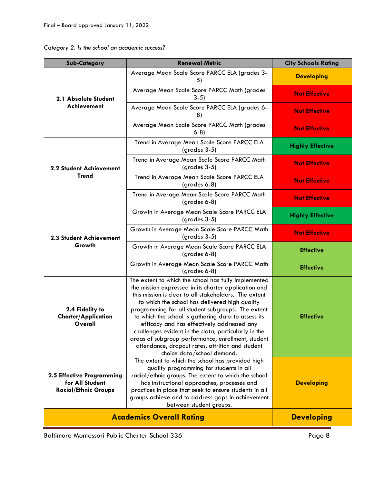| Category 2. Is the school an academic success? |  |  |  |  |  |  |
|------------------------------------------------|--|--|--|--|--|--|
|------------------------------------------------|--|--|--|--|--|--|

| <b>Sub-Category</b>                                                         | <b>Renewal Metric</b>                                                                                                                                                                                                                                                                                                                                                                                                                                                                                                                                                            | <b>City Schools Rating</b> |
|-----------------------------------------------------------------------------|----------------------------------------------------------------------------------------------------------------------------------------------------------------------------------------------------------------------------------------------------------------------------------------------------------------------------------------------------------------------------------------------------------------------------------------------------------------------------------------------------------------------------------------------------------------------------------|----------------------------|
| 2.1 Absolute Student<br>Achievement                                         | Average Mean Scale Score PARCC ELA (grades 3-<br>5)                                                                                                                                                                                                                                                                                                                                                                                                                                                                                                                              | <b>Developing</b>          |
|                                                                             | Average Mean Scale Score PARCC Math (grades<br>$3-5)$                                                                                                                                                                                                                                                                                                                                                                                                                                                                                                                            | <b>Not Effective</b>       |
|                                                                             | Average Mean Scale Score PARCC ELA (grades 6-<br>8)                                                                                                                                                                                                                                                                                                                                                                                                                                                                                                                              | <b>Not Effective</b>       |
|                                                                             | Average Mean Scale Score PARCC Math (grades<br>$6-8$                                                                                                                                                                                                                                                                                                                                                                                                                                                                                                                             | <b>Not Effective</b>       |
|                                                                             | Trend in Average Mean Scale Score PARCC ELA<br>$(grades 3-5)$                                                                                                                                                                                                                                                                                                                                                                                                                                                                                                                    | <b>Highly Effective</b>    |
| 2.2 Student Achievement                                                     | Trend in Average Mean Scale Score PARCC Math<br>$(grades 3-5)$                                                                                                                                                                                                                                                                                                                                                                                                                                                                                                                   | <b>Not Effective</b>       |
| <b>Trend</b>                                                                | Trend in Average Mean Scale Score PARCC ELA<br>(grades 6-8)                                                                                                                                                                                                                                                                                                                                                                                                                                                                                                                      | <b>Not Effective</b>       |
|                                                                             | Trend in Average Mean Scale Score PARCC Math<br>$(grades 6-8)$                                                                                                                                                                                                                                                                                                                                                                                                                                                                                                                   | <b>Not Effective</b>       |
|                                                                             | Growth in Average Mean Scale Score PARCC ELA<br>$(grades 3-5)$                                                                                                                                                                                                                                                                                                                                                                                                                                                                                                                   | <b>Highly Effective</b>    |
| 2.3 Student Achievement                                                     | Growth in Average Mean Scale Score PARCC Math<br>$(grades 3-5)$                                                                                                                                                                                                                                                                                                                                                                                                                                                                                                                  | <b>Not Effective</b>       |
| Growth                                                                      | Growth in Average Mean Scale Score PARCC ELA<br>$(grades 6-8)$                                                                                                                                                                                                                                                                                                                                                                                                                                                                                                                   | <b>Effective</b>           |
|                                                                             | Growth in Average Mean Scale Score PARCC Math<br>(grades 6-8)                                                                                                                                                                                                                                                                                                                                                                                                                                                                                                                    | <b>Effective</b>           |
| 2.4 Fidelity to<br><b>Charter/Application</b><br>Overall                    | The extent to which the school has fully implemented<br>the mission expressed in its charter application and<br>this mission is clear to all stakeholders. The extent<br>to which the school has delivered high quality<br>programming for all student subgroups. The extent<br>to which the school is gathering data to assess its<br>efficacy and has effectively addressed any<br>challenges evident in the data, particularly in the<br>areas of subgroup performance, enrollment, student<br>attendance, dropout rates, attrition and student<br>choice data/school demand. | <b>Effective</b>           |
| 2.5 Effective Programming<br>for All Student<br><b>Racial/Ethnic Groups</b> | The extent to which the school has provided high<br>quality programming for students in all<br>racial/ethnic groups. The extent to which the school<br>has instructional approaches, processes and<br>practices in place that seek to ensure students in all<br>groups achieve and to address gaps in achievement<br>between student groups.                                                                                                                                                                                                                                     | <b>Developing</b>          |
|                                                                             | <b>Academics Overall Rating</b>                                                                                                                                                                                                                                                                                                                                                                                                                                                                                                                                                  | <b>Developing</b>          |

Baltimore Montessori Public Charter School 336 Page 8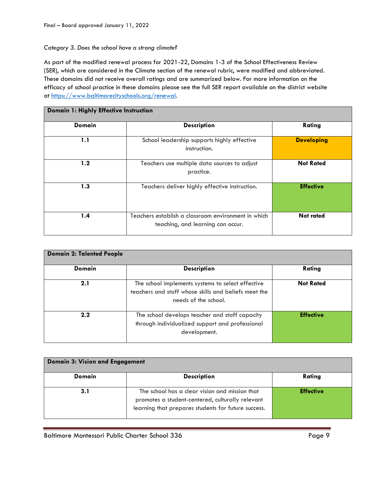# *Category 3. Does the school have a strong climate?*

As part of the modified renewal process for 2021-22, Domains 1-3 of the School Effectiveness Review (SER), which are considered in the Climate section of the renewal rubric, were modified and abbreviated. These domains did not receive overall ratings and are summarized below. For more information on the efficacy of school practice in these domains please see the full SER report available on the district website at [https://www.baltimorecityschools.org/renewal.](https://www.baltimorecityschools.org/renewal)

| Domain 1: Highly Effective Instruction |                                                                                          |                   |  |
|----------------------------------------|------------------------------------------------------------------------------------------|-------------------|--|
| <b>Domain</b>                          | <b>Description</b>                                                                       | Rating            |  |
| 1.1                                    | School leadership supports highly effective<br>instruction.                              | <b>Developing</b> |  |
| 1.2                                    | Teachers use multiple data sources to adjust<br>practice.                                | <b>Not Rated</b>  |  |
| 1.3                                    | Teachers deliver highly effective instruction.                                           | <b>Effective</b>  |  |
| 1.4                                    | Teachers establish a classroom environment in which<br>teaching, and learning can occur. | <b>Not rated</b>  |  |

| <b>Domain 2: Talented People</b> |                                                                                                                                   |                  |  |
|----------------------------------|-----------------------------------------------------------------------------------------------------------------------------------|------------------|--|
| <b>Domain</b>                    | <b>Description</b>                                                                                                                | Rating           |  |
| 2.1                              | The school implements systems to select effective<br>teachers and staff whose skills and beliefs meet the<br>needs of the school. | <b>Not Rated</b> |  |
| 2.2                              | The school develops teacher and staff capacity<br>through individualized support and professional<br>development.                 | <b>Effective</b> |  |

| <b>Domain 3: Vision and Engagement</b> |                                                                                                                                                           |                  |  |
|----------------------------------------|-----------------------------------------------------------------------------------------------------------------------------------------------------------|------------------|--|
| Domain                                 | <b>Description</b>                                                                                                                                        | Rating           |  |
| 3.1                                    | The school has a clear vision and mission that<br>promotes a student-centered, culturally relevant<br>learning that prepares students for future success. | <b>Effective</b> |  |